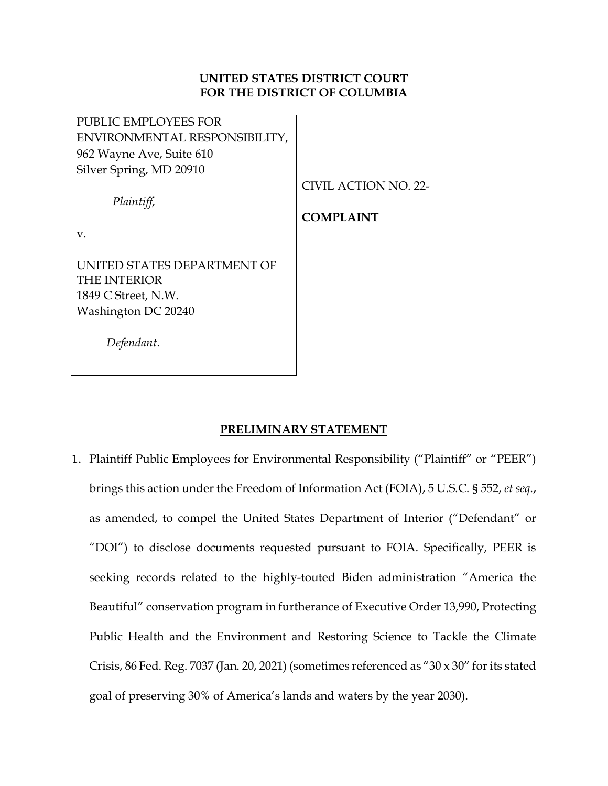# **UNITED STATES DISTRICT COURT FOR THE DISTRICT OF COLUMBIA**

PUBLIC EMPLOYEES FOR ENVIRONMENTAL RESPONSIBILITY, 962 Wayne Ave, Suite 610 Silver Spring, MD 20910

CIVIL ACTION NO. 22-

*Plaintiff*,

**COMPLAINT**

v.

UNITED STATES DEPARTMENT OF THE INTERIOR 1849 C Street, N.W. Washington DC 20240

 *Defendant.*

# **PRELIMINARY STATEMENT**

1. Plaintiff Public Employees for Environmental Responsibility ("Plaintiff" or "PEER") brings this action under the Freedom of Information Act (FOIA), 5 U.S.C. § 552, *et seq*., as amended, to compel the United States Department of Interior ("Defendant" or "DOI") to disclose documents requested pursuant to FOIA. Specifically, PEER is seeking records related to the highly-touted Biden administration "America the Beautiful" conservation program in furtherance of Executive Order 13,990, Protecting Public Health and the Environment and Restoring Science to Tackle the Climate Crisis, 86 Fed. Reg. 7037 (Jan. 20, 2021) (sometimes referenced as "30  $\times$  30" for its stated goal of preserving 30% of America's lands and waters by the year 2030).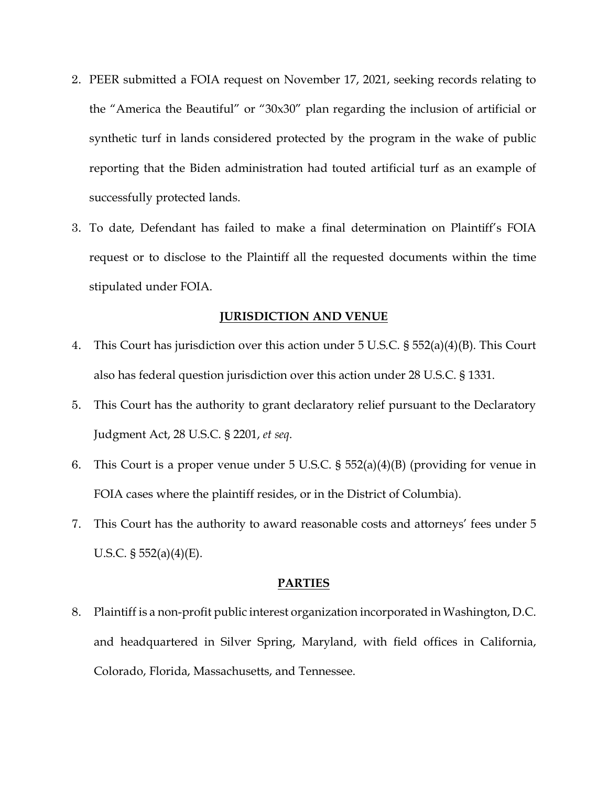- 2. PEER submitted a FOIA request on November 17, 2021, seeking records relating to the "America the Beautiful" or "30x30" plan regarding the inclusion of artificial or synthetic turf in lands considered protected by the program in the wake of public reporting that the Biden administration had touted artificial turf as an example of successfully protected lands.
- 3. To date, Defendant has failed to make a final determination on Plaintiff's FOIA request or to disclose to the Plaintiff all the requested documents within the time stipulated under FOIA.

# **JURISDICTION AND VENUE**

- 4. This Court has jurisdiction over this action under 5 U.S.C. § 552(a)(4)(B). This Court also has federal question jurisdiction over this action under 28 U.S.C. § 1331.
- 5. This Court has the authority to grant declaratory relief pursuant to the Declaratory Judgment Act, 28 U.S.C. § 2201, *et seq*.
- 6. This Court is a proper venue under 5 U.S.C. § 552(a)(4)(B) (providing for venue in FOIA cases where the plaintiff resides, or in the District of Columbia).
- 7. This Court has the authority to award reasonable costs and attorneys' fees under 5 U.S.C.  $\S 552(a)(4)(E)$ .

#### **PARTIES**

8. Plaintiff is a non-profit public interest organization incorporated in Washington, D.C. and headquartered in Silver Spring, Maryland, with field offices in California, Colorado, Florida, Massachusetts, and Tennessee.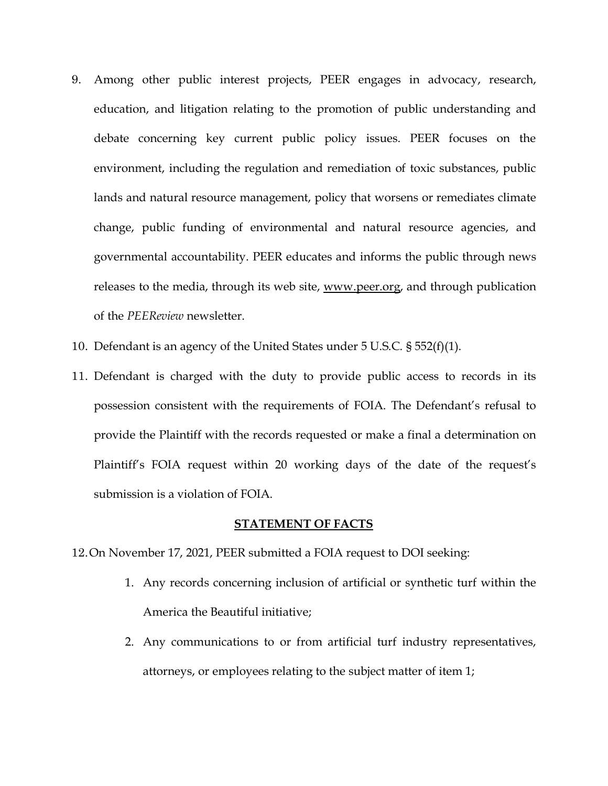- 9. Among other public interest projects, PEER engages in advocacy, research, education, and litigation relating to the promotion of public understanding and debate concerning key current public policy issues. PEER focuses on the environment, including the regulation and remediation of toxic substances, public lands and natural resource management, policy that worsens or remediates climate change, public funding of environmental and natural resource agencies, and governmental accountability. PEER educates and informs the public through news releases to the media, through its web site, [www.peer.org,](http://www.peer.org/) and through publication of the *PEEReview* newsletter.
- 10. Defendant is an agency of the United States under 5 U.S.C. § 552(f)(1).
- 11. Defendant is charged with the duty to provide public access to records in its possession consistent with the requirements of FOIA. The Defendant's refusal to provide the Plaintiff with the records requested or make a final a determination on Plaintiff's FOIA request within 20 working days of the date of the request's submission is a violation of FOIA.

## **STATEMENT OF FACTS**

- 12.On November 17, 2021, PEER submitted a FOIA request to DOI seeking:
	- 1. Any records concerning inclusion of artificial or synthetic turf within the America the Beautiful initiative;
	- 2. Any communications to or from artificial turf industry representatives, attorneys, or employees relating to the subject matter of item 1;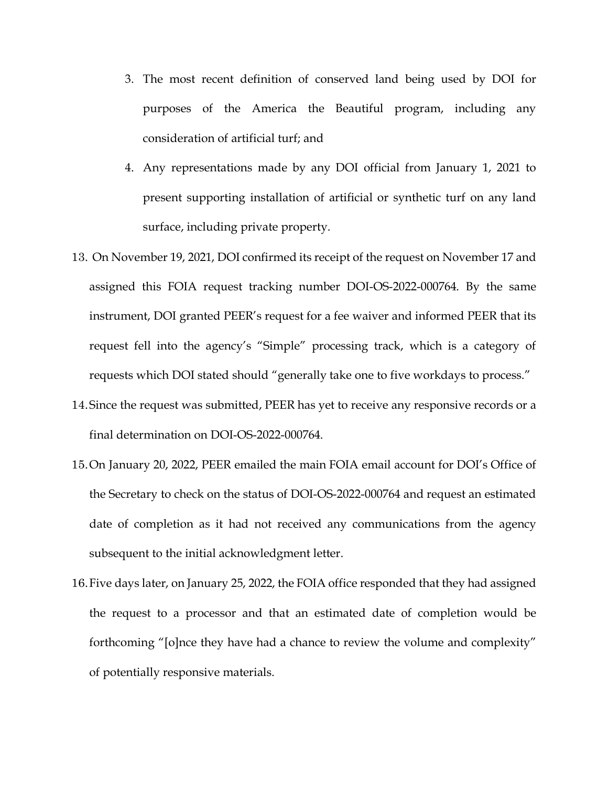- 3. The most recent definition of conserved land being used by DOI for purposes of the America the Beautiful program, including any consideration of artificial turf; and
- 4. Any representations made by any DOI official from January 1, 2021 to present supporting installation of artificial or synthetic turf on any land surface, including private property.
- 13. On November 19, 2021, DOI confirmed its receipt of the request on November 17 and assigned this FOIA request tracking number DOI-OS-2022-000764. By the same instrument, DOI granted PEER's request for a fee waiver and informed PEER that its request fell into the agency's "Simple" processing track, which is a category of requests which DOI stated should "generally take one to five workdays to process."
- 14.Since the request was submitted, PEER has yet to receive any responsive records or a final determination on DOI-OS-2022-000764.
- 15.On January 20, 2022, PEER emailed the main FOIA email account for DOI's Office of the Secretary to check on the status of DOI-OS-2022-000764 and request an estimated date of completion as it had not received any communications from the agency subsequent to the initial acknowledgment letter.
- 16.Five days later, on January 25, 2022, the FOIA office responded that they had assigned the request to a processor and that an estimated date of completion would be forthcoming "[o]nce they have had a chance to review the volume and complexity" of potentially responsive materials.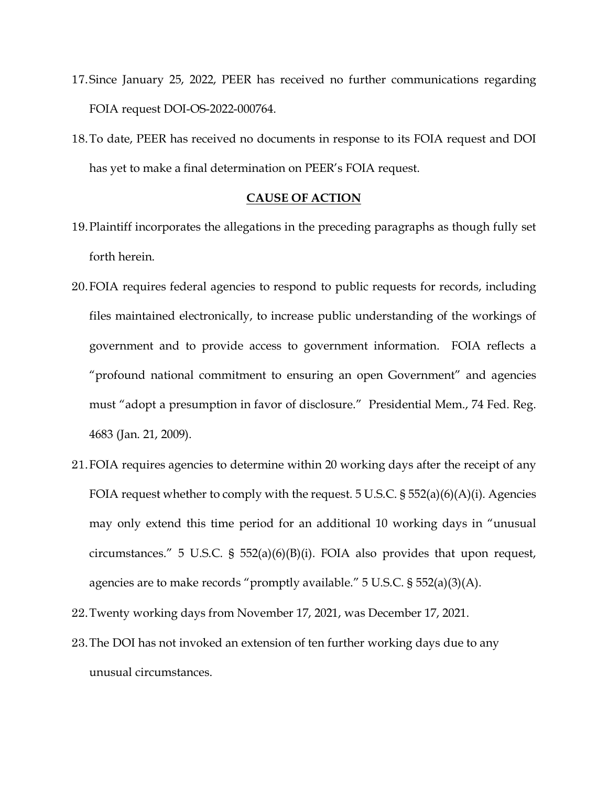- 17.Since January 25, 2022, PEER has received no further communications regarding FOIA request DOI-OS-2022-000764.
- 18.To date, PEER has received no documents in response to its FOIA request and DOI has yet to make a final determination on PEER's FOIA request.

## **CAUSE OF ACTION**

- 19.Plaintiff incorporates the allegations in the preceding paragraphs as though fully set forth herein.
- 20.FOIA requires federal agencies to respond to public requests for records, including files maintained electronically, to increase public understanding of the workings of government and to provide access to government information. FOIA reflects a "profound national commitment to ensuring an open Government" and agencies must "adopt a presumption in favor of disclosure." Presidential Mem., 74 Fed. Reg. 4683 (Jan. 21, 2009).
- 21.FOIA requires agencies to determine within 20 working days after the receipt of any FOIA request whether to comply with the request. 5 U.S.C. § 552(a)(6)(A)(i). Agencies may only extend this time period for an additional 10 working days in "unusual circumstances." 5 U.S.C. § 552(a)(6)(B)(i). FOIA also provides that upon request, agencies are to make records "promptly available." 5 U.S.C. § 552(a)(3)(A).
- 22.Twenty working days from November 17, 2021, was December 17, 2021.
- 23.The DOI has not invoked an extension of ten further working days due to any unusual circumstances.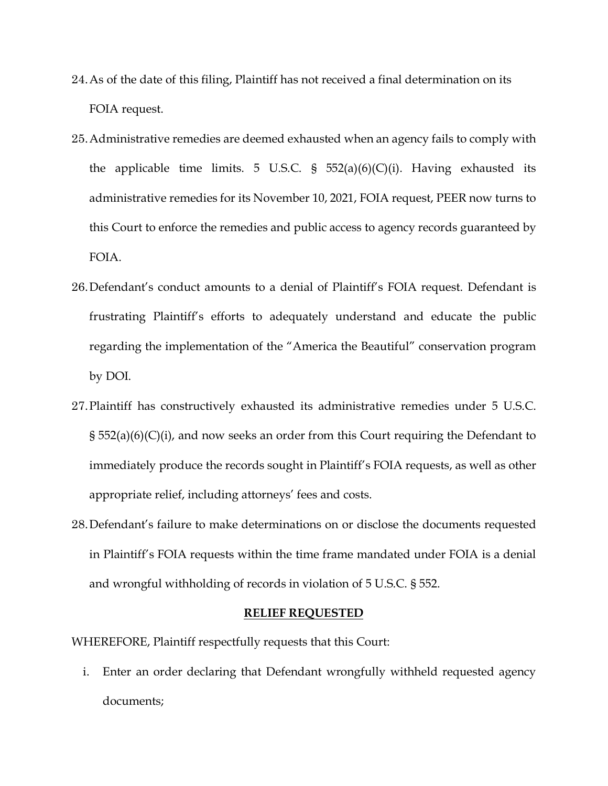- 24.As of the date of this filing, Plaintiff has not received a final determination on its FOIA request.
- 25.Administrative remedies are deemed exhausted when an agency fails to comply with the applicable time limits. 5 U.S.C. §  $552(a)(6)(C)(i)$ . Having exhausted its administrative remedies for its November 10, 2021, FOIA request, PEER now turns to this Court to enforce the remedies and public access to agency records guaranteed by FOIA.
- 26.Defendant's conduct amounts to a denial of Plaintiff's FOIA request. Defendant is frustrating Plaintiff's efforts to adequately understand and educate the public regarding the implementation of the "America the Beautiful" conservation program by DOI.
- 27.Plaintiff has constructively exhausted its administrative remedies under 5 U.S.C. § 552(a)(6)(C)(i), and now seeks an order from this Court requiring the Defendant to immediately produce the records sought in Plaintiff's FOIA requests, as well as other appropriate relief, including attorneys' fees and costs.
- 28.Defendant's failure to make determinations on or disclose the documents requested in Plaintiff's FOIA requests within the time frame mandated under FOIA is a denial and wrongful withholding of records in violation of 5 U.S.C. § 552.

#### **RELIEF REQUESTED**

WHEREFORE, Plaintiff respectfully requests that this Court:

i. Enter an order declaring that Defendant wrongfully withheld requested agency documents;